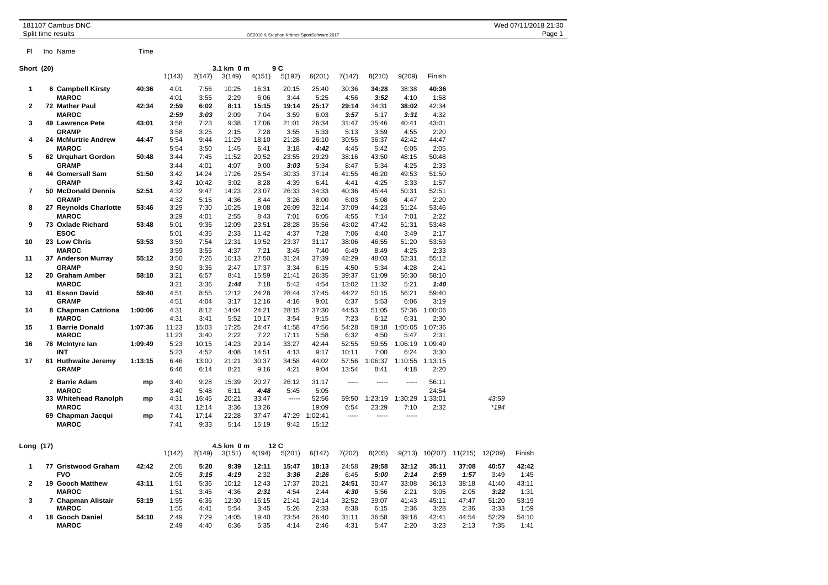| 181107 Cambus DNC<br>Split time results |      | OE2010 © Stephan Krämer SportSoftware 2017 | Wed 07/11/2018 21:30<br>Page 1 |
|-----------------------------------------|------|--------------------------------------------|--------------------------------|
| tno Name<br>P                           | Time |                                            |                                |
| <b>Short (20)</b>                       |      | 9 C<br>3.1 km 0 m                          |                                |

|              |                       |         | 1(143) | 2(147) | 3(149) | 4(151) | 5(192) | 6(201)  | 7(142) | 8(210)  | 9(209)          | Finish          |        |
|--------------|-----------------------|---------|--------|--------|--------|--------|--------|---------|--------|---------|-----------------|-----------------|--------|
| 1            | 6 Campbell Kirsty     | 40:36   | 4:01   | 7:56   | 10:25  | 16:31  | 20:15  | 25:40   | 30:36  | 34:28   | 38:38           | 40:36           |        |
|              | <b>MAROC</b>          |         | 4:01   | 3:55   | 2:29   | 6:06   | 3:44   | 5:25    | 4:56   | 3:52    | 4:10            | 1:58            |        |
| $\mathbf{2}$ | 72 Mather Paul        | 42:34   | 2:59   | 6:02   | 8:11   | 15:15  | 19:14  | 25:17   | 29:14  | 34:31   | 38:02           | 42:34           |        |
|              | <b>MAROC</b>          |         | 2:59   | 3:03   | 2:09   | 7:04   | 3:59   | 6:03    | 3:57   | 5:17    | 3:31            | 4:32            |        |
| 3            | 49 Lawrence Pete      | 43:01   | 3:58   | 7:23   | 9:38   | 17:06  | 21:01  | 26:34   | 31:47  | 35:46   | 40:41           | 43:01           |        |
|              | <b>GRAMP</b>          |         | 3:58   | 3:25   | 2:15   | 7:28   | 3:55   | 5:33    | 5:13   | 3:59    | 4:55            | 2:20            |        |
| 4            | 24 McMurtrie Andrew   | 44:47   | 5:54   | 9:44   | 11:29  | 18:10  | 21:28  | 26:10   | 30:55  | 36:37   | 42:42           | 44:47           |        |
|              | <b>MAROC</b>          |         | 5:54   | 3:50   | 1:45   | 6:41   | 3:18   | 4:42    | 4:45   | 5:42    | 6:05            | 2:05            |        |
| 5            | 62 Urquhart Gordon    | 50:48   | 3:44   | 7:45   | 11:52  | 20:52  | 23:55  | 29:29   | 38:16  | 43:50   | 48:15           | 50:48           |        |
|              | <b>GRAMP</b>          |         | 3:44   | 4:01   | 4:07   | 9:00   | 3:03   | 5:34    | 8:47   | 5:34    | 4:25            | 2:33            |        |
| 6            | 44 Gomersall Sam      | 51:50   | 3:42   | 14:24  | 17:26  | 25:54  | 30:33  | 37:14   | 41:55  | 46:20   | 49:53           | 51:50           |        |
|              | <b>GRAMP</b>          |         | 3:42   | 10:42  | 3:02   | 8:28   | 4:39   | 6:41    | 4:41   | 4:25    | 3:33            | 1:57            |        |
| 7            | 50 McDonald Dennis    | 52:51   | 4:32   | 9:47   | 14:23  | 23:07  | 26:33  | 34:33   | 40:36  | 45:44   | 50:31           | 52:51           |        |
|              | <b>GRAMP</b>          |         | 4:32   | 5:15   | 4:36   | 8:44   | 3:26   | 8:00    | 6:03   | 5:08    | 4:47            | 2:20            |        |
| 8            | 27 Reynolds Charlotte | 53:46   | 3:29   | 7:30   | 10:25  | 19:08  | 26:09  | 32:14   | 37:09  | 44:23   | 51:24           | 53:46           |        |
|              | <b>MAROC</b>          |         | 3:29   | 4:01   | 2:55   | 8:43   | 7:01   | 6:05    | 4:55   | 7:14    | 7:01            | 2:22            |        |
| 9            | 73 Oxlade Richard     | 53:48   | 5:01   | 9:36   | 12:09  | 23:51  | 28:28  | 35:56   | 43:02  | 47:42   | 51:31           | 53:48           |        |
|              | <b>ESOC</b>           |         | 5:01   | 4:35   | 2:33   | 11:42  | 4:37   | 7:28    | 7:06   | 4:40    | 3:49            | 2:17            |        |
| 10           | 23 Low Chris          | 53:53   | 3:59   | 7:54   | 12:31  | 19:52  | 23:37  | 31:17   | 38:06  | 46:55   | 51:20           | 53:53           |        |
|              | <b>MAROC</b>          |         | 3:59   | 3:55   | 4:37   | 7:21   | 3:45   | 7:40    | 6:49   | 8:49    | 4:25            | 2:33            |        |
| 11           | 37 Anderson Murray    | 55:12   | 3:50   | 7:26   | 10:13  | 27:50  | 31:24  | 37:39   | 42:29  | 48:03   | 52:31           | 55:12           |        |
|              | <b>GRAMP</b>          |         | 3:50   | 3:36   | 2:47   | 17:37  | 3:34   | 6:15    | 4:50   | 5:34    | 4:28            | 2:41            |        |
| 12           | 20 Graham Amber       | 58:10   | 3:21   | 6:57   | 8:41   | 15:59  | 21:41  | 26:35   | 39:37  | 51:09   | 56:30           | 58:10           |        |
|              | <b>MAROC</b>          |         | 3:21   | 3:36   | 1:44   | 7:18   | 5:42   | 4:54    | 13:02  | 11:32   | 5:21            | 1:40            |        |
| 13           | 41 Esson David        | 59:40   | 4:51   | 8:55   | 12:12  | 24:28  | 28:44  | 37:45   | 44:22  | 50:15   | 56:21           | 59:40           |        |
|              | <b>GRAMP</b>          |         | 4:51   | 4:04   | 3:17   | 12:16  | 4:16   | 9:01    | 6:37   | 5:53    | 6:06            | 3:19            |        |
| 14           | 8 Chapman Catriona    | 1:00:06 | 4:31   | 8:12   | 14:04  | 24:21  | 28:15  | 37:30   | 44:53  | 51:05   | 57:36           | 1:00:06         |        |
|              | <b>MAROC</b>          |         | 4:31   | 3:41   | 5:52   | 10:17  | 3:54   | 9:15    | 7:23   | 6:12    | 6:31            | 2:30            |        |
| 15           | 1 Barrie Donald       | 1:07:36 | 11:23  | 15:03  | 17:25  | 24:47  | 41:58  | 47:56   | 54:28  | 59:18   |                 | 1:05:05 1:07:36 |        |
|              | <b>MAROC</b>          |         | 11:23  | 3:40   | 2:22   | 7:22   | 17:11  | 5:58    | 6:32   | 4:50    | 5:47            | 2:31            |        |
| 16           | 76 McIntyre lan       | 1:09:49 | 5:23   | 10:15  | 14:23  | 29:14  | 33:27  | 42:44   | 52:55  | 59:55   | 1:06:19 1:09:49 |                 |        |
|              | <b>INT</b>            |         | 5:23   | 4:52   | 4:08   | 14:51  | 4:13   | 9:17    | 10:11  | 7:00    | 6:24            | 3:30            |        |
| 17           | 61 Huthwaite Jeremy   | 1:13:15 | 6:46   | 13:00  | 21:21  | 30:37  | 34:58  | 44:02   | 57:56  | 1:06:37 | 1:10:55 1:13:15 |                 |        |
|              | <b>GRAMP</b>          |         | 6:46   | 6:14   | 8:21   | 9:16   | 4:21   | 9:04    | 13:54  | 8:41    | 4:18            | 2:20            |        |
|              | 2 Barrie Adam         | mp      | 3:40   | 9:28   | 15:39  | 20:27  | 26:12  | 31:17   | -----  | -----   | -----           | 56:11           |        |
|              | <b>MAROC</b>          |         | 3:40   | 5:48   | 6:11   | 4:48   | 5:45   | 5:05    |        |         |                 | 24:54           |        |
|              | 33 Whitehead Ranolph  | mp      | 4:31   | 16:45  | 20:21  | 33:47  | -----  | 52:56   | 59:50  | 1:23:19 | 1:30:29         | 1:33:01         | 43:59  |
|              | <b>MAROC</b>          |         | 4:31   | 12:14  | 3:36   | 13:26  |        | 19:09   | 6:54   | 23:29   | 7:10            | 2:32            | $*194$ |
|              | 69 Chapman Jacqui     | mp      | 7:41   | 17:14  | 22:28  | 37:47  | 47:29  | 1:02:41 | -----  | -----   | -----           |                 |        |
|              | <b>MAROC</b>          |         | 7:41   | 9:33   | 5:14   | 15:19  | 9:42   | 15:12   |        |         |                 |                 |        |
|              |                       |         |        |        |        |        |        |         |        |         |                 |                 |        |

| Long (17) |    |                                         |       |              |              | 4.5 km 0 m    |               | 12 C          |               |               |               |               |               |               |               |               |
|-----------|----|-----------------------------------------|-------|--------------|--------------|---------------|---------------|---------------|---------------|---------------|---------------|---------------|---------------|---------------|---------------|---------------|
|           |    |                                         |       | 1(142)       | 2(149)       | 3(151)        | 4(194)        | 5(201)        | 6(147)        | 7(202)        | 8(205)        | 9(213)        | 10(207        | 11(215)       | 12(209)       | Finish        |
|           | 77 | <b>Gristwood Graham</b><br><b>FVO</b>   | 42:42 | 2:05<br>2:05 | 5:20<br>3:15 | 9:39<br>4:19  | 12:11<br>2:32 | 15:47<br>3:36 | 18:13<br>2:26 | 24:58<br>6:45 | 29:58<br>5:00 | 32:12<br>2:14 | 35:11<br>2:59 | 37:08<br>1:57 | 40.57<br>3:49 | 42:42<br>1:45 |
| 2         | 19 | <b>Gooch Matthew</b><br><b>MAROC</b>    | 43:11 | 1:51<br>1:51 | 5:36<br>3:45 | 10:12<br>4:36 | 12:43<br>2:31 | 17:37<br>4:54 | 20:21<br>2:44 | 24:51<br>4:30 | 30:47<br>5:56 | 33:08<br>2:21 | 36:13<br>3:05 | 38:18<br>2:05 | 41:40<br>3:22 | 43:11<br>1:31 |
| 3         |    | <b>Chapman Alistair</b><br><b>MAROC</b> | 53:19 | 1:55<br>1:55 | 6:36<br>4:41 | 12:30<br>5:54 | 16:15<br>3:45 | 21:41<br>5:26 | 24:14<br>2:33 | 32:52<br>8:38 | 39:07<br>6:15 | 41:43<br>2:36 | 45:11<br>3:28 | 47:47<br>2:36 | 51:20<br>3:33 | 53:19<br>1:59 |
| 4         | 18 | <b>Gooch Daniel</b><br><b>MAROC</b>     | 54:10 | 2:49<br>2:49 | 7:29<br>4:40 | 14:05<br>6:36 | 19:40<br>5:35 | 23:54<br>4:14 | 26:40<br>2:46 | 31:11<br>4:31 | 36:58<br>5:47 | 39:18<br>2:20 | 42:41<br>3:23 | 44:54<br>2:13 | 52:29<br>7:35 | 54:10<br>1:41 |